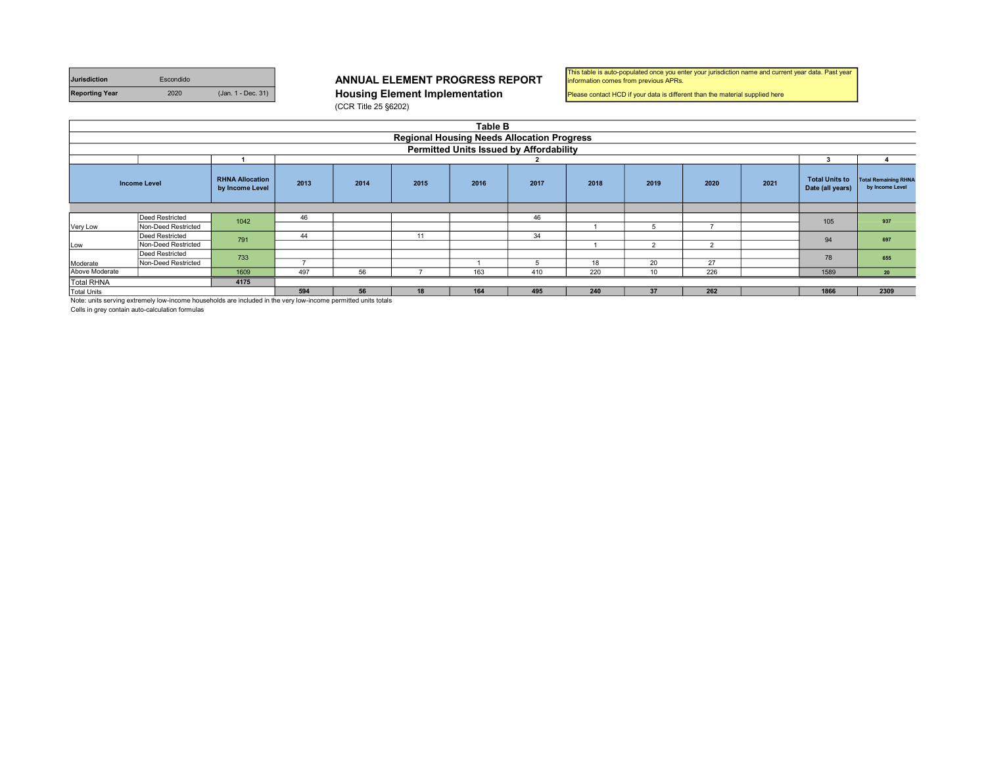| <b>Jurisdiction</b>   | Escondido |                    | <b>ANNUAL ELEMENT PROGRESS R</b>      |
|-----------------------|-----------|--------------------|---------------------------------------|
| <b>Reporting Year</b> | 2020      | (Jan. 1 - Dec. 31) | <b>Housing Element Implementation</b> |

## ANNUAL ELEMENT PROGRESS REPORT

(CCR Title 25 §6202)

| This table is auto-populated once you enter your jurisdiction name and current year data. Past year |
|-----------------------------------------------------------------------------------------------------|
| information comes from previous APRs.                                                               |

Please contact HCD if your data is different than the material supplied here

|                    | <b>Table B</b>                                                                                                 |                                           |      |                                                              |    |     |                                                |     |                                           |                                                |  |      |      |
|--------------------|----------------------------------------------------------------------------------------------------------------|-------------------------------------------|------|--------------------------------------------------------------|----|-----|------------------------------------------------|-----|-------------------------------------------|------------------------------------------------|--|------|------|
|                    | <b>Regional Housing Needs Allocation Progress</b>                                                              |                                           |      |                                                              |    |     |                                                |     |                                           |                                                |  |      |      |
|                    |                                                                                                                |                                           |      |                                                              |    |     | <b>Permitted Units Issued by Affordability</b> |     |                                           |                                                |  |      |      |
|                    |                                                                                                                |                                           |      |                                                              |    |     | 2                                              |     |                                           |                                                |  | 3    |      |
|                    | <b>Income Level</b>                                                                                            | <b>RHNA Allocation</b><br>by Income Level | 2013 | 2021<br>2017<br>2019<br>2020<br>2014<br>2015<br>2016<br>2018 |    |     |                                                |     | <b>Total Units to</b><br>Date (all years) | <b>Total Remaining RHNA</b><br>by Income Level |  |      |      |
|                    |                                                                                                                |                                           |      |                                                              |    |     |                                                |     |                                           |                                                |  |      |      |
|                    | Deed Restricted                                                                                                | 1042                                      | 46   |                                                              |    |     | 46                                             |     |                                           |                                                |  | 105  | 937  |
| Very Low           | Non-Deed Restricted                                                                                            |                                           |      |                                                              |    |     |                                                |     |                                           | ٠                                              |  |      |      |
|                    | Deed Restricted                                                                                                | 791                                       | 44   |                                                              | 11 |     | 34                                             |     |                                           |                                                |  | 94   | 697  |
| Low                | Non-Deed Restricted                                                                                            |                                           |      |                                                              |    |     |                                                |     | $\overline{2}$                            | 2                                              |  |      |      |
|                    | <b>Deed Restricted</b>                                                                                         | 733                                       |      |                                                              |    |     |                                                |     |                                           |                                                |  | 78   | 655  |
| Moderate           | Non-Deed Restricted                                                                                            |                                           |      |                                                              |    |     |                                                | 18  | 20                                        | 27                                             |  |      |      |
| Above Moderate     |                                                                                                                | 1609                                      | 497  | 56                                                           |    | 163 | 410                                            | 220 | 10                                        | 226                                            |  | 1589 | 20   |
| <b>Total RHNA</b>  |                                                                                                                | 4175                                      |      |                                                              |    |     |                                                |     |                                           |                                                |  |      |      |
| <b>Total Units</b> |                                                                                                                |                                           | 594  | 56                                                           | 18 | 164 | 495                                            | 240 | 37                                        | 262                                            |  | 1866 | 2309 |
|                    | Note: units serving extremely low-income households are included in the very low-income permitted units totals |                                           |      |                                                              |    |     |                                                |     |                                           |                                                |  |      |      |

Cells in grey contain auto-calculation formulas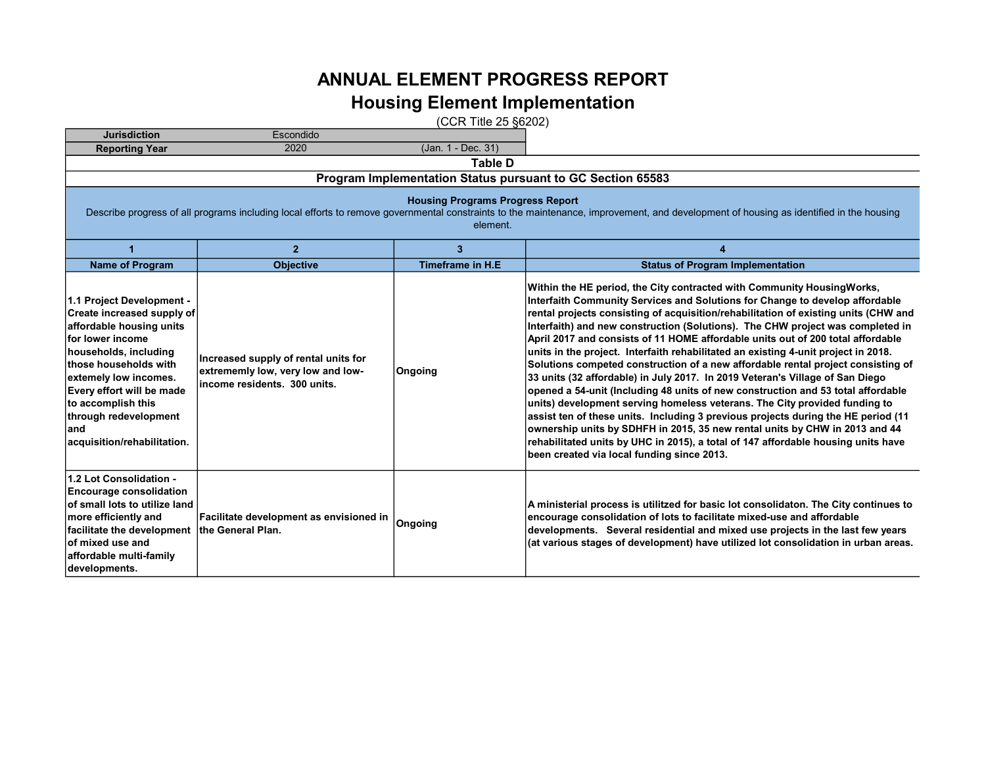## ANNUAL ELEMENT PROGRESS REPORT Housing Element Implementation

(CCR Title 25 §6202)

| <b>Jurisdiction</b>                                                                                                                                                                                                                                                                                           | Escondido                                                                                                                                                                                                                                    |                          |                                                                                                                                                                                                                                                                                                                                                                                                                                                                                                                                                                                                                                                                                                                                                                                                                                                                                                                                                                                                                                                                                                                                                         |  |  |  |  |
|---------------------------------------------------------------------------------------------------------------------------------------------------------------------------------------------------------------------------------------------------------------------------------------------------------------|----------------------------------------------------------------------------------------------------------------------------------------------------------------------------------------------------------------------------------------------|--------------------------|---------------------------------------------------------------------------------------------------------------------------------------------------------------------------------------------------------------------------------------------------------------------------------------------------------------------------------------------------------------------------------------------------------------------------------------------------------------------------------------------------------------------------------------------------------------------------------------------------------------------------------------------------------------------------------------------------------------------------------------------------------------------------------------------------------------------------------------------------------------------------------------------------------------------------------------------------------------------------------------------------------------------------------------------------------------------------------------------------------------------------------------------------------|--|--|--|--|
| <b>Reporting Year</b>                                                                                                                                                                                                                                                                                         | 2020                                                                                                                                                                                                                                         | (Jan. 1 - Dec. 31)       |                                                                                                                                                                                                                                                                                                                                                                                                                                                                                                                                                                                                                                                                                                                                                                                                                                                                                                                                                                                                                                                                                                                                                         |  |  |  |  |
|                                                                                                                                                                                                                                                                                                               |                                                                                                                                                                                                                                              | <b>Table D</b>           |                                                                                                                                                                                                                                                                                                                                                                                                                                                                                                                                                                                                                                                                                                                                                                                                                                                                                                                                                                                                                                                                                                                                                         |  |  |  |  |
|                                                                                                                                                                                                                                                                                                               |                                                                                                                                                                                                                                              |                          | Program Implementation Status pursuant to GC Section 65583                                                                                                                                                                                                                                                                                                                                                                                                                                                                                                                                                                                                                                                                                                                                                                                                                                                                                                                                                                                                                                                                                              |  |  |  |  |
|                                                                                                                                                                                                                                                                                                               | <b>Housing Programs Progress Report</b><br>Describe progress of all programs including local efforts to remove governmental constraints to the maintenance, improvement, and development of housing as identified in the housing<br>element. |                          |                                                                                                                                                                                                                                                                                                                                                                                                                                                                                                                                                                                                                                                                                                                                                                                                                                                                                                                                                                                                                                                                                                                                                         |  |  |  |  |
|                                                                                                                                                                                                                                                                                                               | $\overline{2}$                                                                                                                                                                                                                               | 3                        | 4                                                                                                                                                                                                                                                                                                                                                                                                                                                                                                                                                                                                                                                                                                                                                                                                                                                                                                                                                                                                                                                                                                                                                       |  |  |  |  |
| <b>Name of Program</b>                                                                                                                                                                                                                                                                                        | <b>Objective</b>                                                                                                                                                                                                                             | <b>Timeframe in H.E.</b> | <b>Status of Program Implementation</b>                                                                                                                                                                                                                                                                                                                                                                                                                                                                                                                                                                                                                                                                                                                                                                                                                                                                                                                                                                                                                                                                                                                 |  |  |  |  |
| 1.1 Project Development -<br>Create increased supply of<br>affordable housing units<br>lfor lower income<br>households, including<br><b>those households with</b><br>extemely low incomes.<br>Every effort will be made<br>to accomplish this<br>through redevelopment<br>land<br>acquisition/rehabilitation. | Increased supply of rental units for<br>extrememly low, very low and low-<br>income residents. 300 units.                                                                                                                                    | Ongoing                  | Within the HE period, the City contracted with Community Housing Works,<br>Interfaith Community Services and Solutions for Change to develop affordable<br>rental projects consisting of acquisition/rehabilitation of existing units (CHW and<br>Interfaith) and new construction (Solutions). The CHW project was completed in<br>April 2017 and consists of 11 HOME affordable units out of 200 total affordable<br>units in the project. Interfaith rehabilitated an existing 4-unit project in 2018.<br>Solutions competed construction of a new affordable rental project consisting of<br>33 units (32 affordable) in July 2017. In 2019 Veteran's Village of San Diego<br>opened a 54-unit (Including 48 units of new construction and 53 total affordable<br>units) development serving homeless veterans. The City provided funding to<br>assist ten of these units. Including 3 previous projects during the HE period (11<br>ownership units by SDHFH in 2015, 35 new rental units by CHW in 2013 and 44<br>rehabilitated units by UHC in 2015), a total of 147 affordable housing units have<br>been created via local funding since 2013. |  |  |  |  |
| 1.2 Lot Consolidation -<br><b>Encourage consolidation</b><br>of small lots to utilize land<br>more efficiently and<br>facilitate the development<br>of mixed use and<br>affordable multi-family<br>developments.                                                                                              | Facilitate development as envisioned in<br>the General Plan.                                                                                                                                                                                 | Ongoing                  | A ministerial process is utilitzed for basic lot consolidaton. The City continues to<br>encourage consolidation of lots to facilitate mixed-use and affordable<br>developments. Several residential and mixed use projects in the last few years<br>(at various stages of development) have utilized lot consolidation in urban areas.                                                                                                                                                                                                                                                                                                                                                                                                                                                                                                                                                                                                                                                                                                                                                                                                                  |  |  |  |  |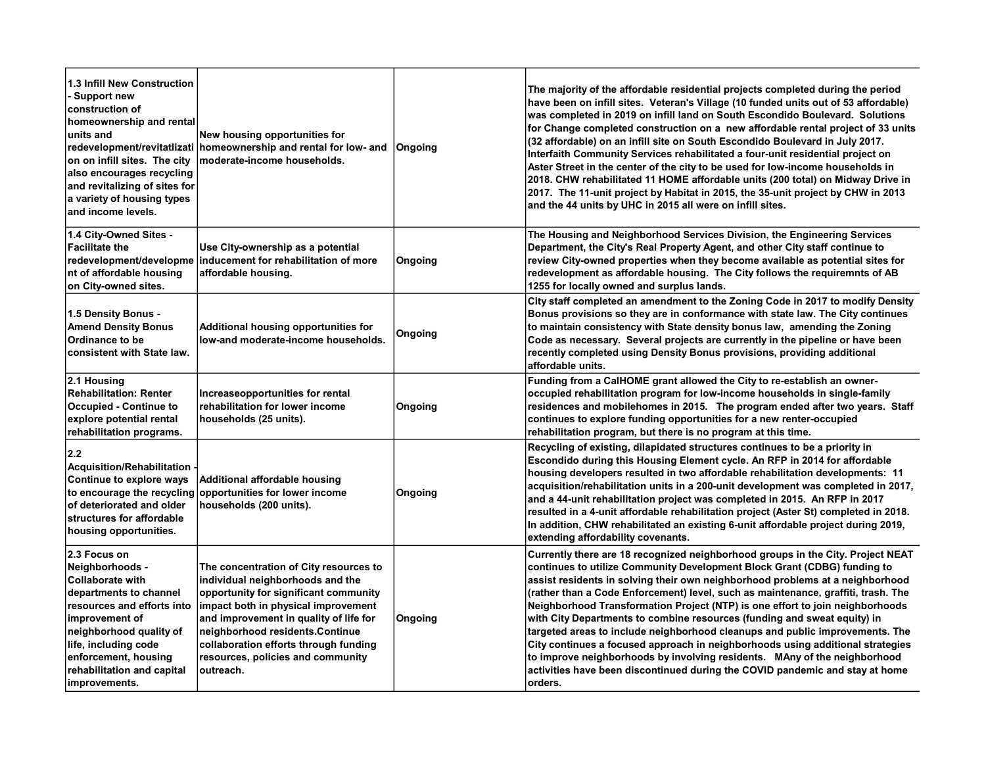| 1.3 Infill New Construction<br>- Support new<br>construction of<br>homeownership and rental<br>units and<br>redevelopment/revitatlizati<br>on on infill sites. The city<br>also encourages recycling<br>and revitalizing of sites for<br>a variety of housing types<br>and income levels. | New housing opportunities for<br>homeownership and rental for low- and<br>moderate-income households.                                                                                                                                                                                                                              | Ongoing | The majority of the affordable residential projects completed during the period<br>have been on infill sites. Veteran's Village (10 funded units out of 53 affordable)<br>was completed in 2019 on infill land on South Escondido Boulevard. Solutions<br>for Change completed construction on a new affordable rental project of 33 units<br>(32 affordable) on an infill site on South Escondido Boulevard in July 2017.<br>Interfaith Community Services rehabilitated a four-unit residential project on<br>Aster Street in the center of the city to be used for low-income households in<br>2018. CHW rehabilitated 11 HOME affordable units (200 total) on Midway Drive in<br>2017. The 11-unit project by Habitat in 2015, the 35-unit project by CHW in 2013<br>and the 44 units by UHC in 2015 all were on infill sites.       |
|-------------------------------------------------------------------------------------------------------------------------------------------------------------------------------------------------------------------------------------------------------------------------------------------|------------------------------------------------------------------------------------------------------------------------------------------------------------------------------------------------------------------------------------------------------------------------------------------------------------------------------------|---------|------------------------------------------------------------------------------------------------------------------------------------------------------------------------------------------------------------------------------------------------------------------------------------------------------------------------------------------------------------------------------------------------------------------------------------------------------------------------------------------------------------------------------------------------------------------------------------------------------------------------------------------------------------------------------------------------------------------------------------------------------------------------------------------------------------------------------------------|
| 1.4 City-Owned Sites -<br><b>Facilitate the</b><br>redevelopment/developme<br>nt of affordable housing<br>on City-owned sites.                                                                                                                                                            | Use City-ownership as a potential<br>inducement for rehabilitation of more<br>affordable housing.                                                                                                                                                                                                                                  | Ongoing | The Housing and Neighborhood Services Division, the Engineering Services<br>Department, the City's Real Property Agent, and other City staff continue to<br>review City-owned properties when they become available as potential sites for<br>redevelopment as affordable housing. The City follows the requiremnts of AB<br>1255 for locally owned and surplus lands.                                                                                                                                                                                                                                                                                                                                                                                                                                                                   |
| 1.5 Density Bonus -<br><b>Amend Density Bonus</b><br>Ordinance to be<br>consistent with State law.                                                                                                                                                                                        | Additional housing opportunities for<br>low-and moderate-income households.                                                                                                                                                                                                                                                        | Ongoing | City staff completed an amendment to the Zoning Code in 2017 to modify Density<br>Bonus provisions so they are in conformance with state law. The City continues<br>to maintain consistency with State density bonus law, amending the Zoning<br>Code as necessary. Several projects are currently in the pipeline or have been<br>recently completed using Density Bonus provisions, providing additional<br>affordable units.                                                                                                                                                                                                                                                                                                                                                                                                          |
| 2.1 Housing<br><b>Rehabilitation: Renter</b><br>Occupied - Continue to<br>explore potential rental<br>rehabilitation programs.                                                                                                                                                            | Increaseopportunities for rental<br>rehabilitation for lower income<br>households (25 units).                                                                                                                                                                                                                                      | Ongoing | Funding from a CalHOME grant allowed the City to re-establish an owner-<br>occupied rehabilitation program for low-income households in single-family<br>residences and mobilehomes in 2015. The program ended after two years. Staff<br>continues to explore funding opportunities for a new renter-occupied<br>rehabilitation program, but there is no program at this time.                                                                                                                                                                                                                                                                                                                                                                                                                                                           |
| 2.2 <br>Acquisition/Rehabilitation<br>Continue to explore ways<br>to encourage the recycling<br>of deteriorated and older<br>structures for affordable<br>housing opportunities.                                                                                                          | Additional affordable housing<br>opportunities for lower income<br>households (200 units).                                                                                                                                                                                                                                         | Ongoing | Recycling of existing, dilapidated structures continues to be a priority in<br>Escondido during this Housing Element cycle. An RFP in 2014 for affordable<br>housing developers resulted in two affordable rehabilitation developments: 11<br>acquisition/rehabilitation units in a 200-unit development was completed in 2017,<br>and a 44-unit rehabilitation project was completed in 2015. An RFP in 2017<br>resulted in a 4-unit affordable rehabilitation project (Aster St) completed in 2018.<br>In addition, CHW rehabilitated an existing 6-unit affordable project during 2019,<br>extending affordability covenants.                                                                                                                                                                                                         |
| 2.3 Focus on<br>Neighborhoods -<br><b>Collaborate with</b><br>departments to channel<br>resources and efforts into<br>improvement of<br>neighborhood quality of<br>life, including code<br>enforcement, housing<br>rehabilitation and capital<br>improvements.                            | The concentration of City resources to<br>individual neighborhoods and the<br>opportunity for significant community<br>impact both in physical improvement<br>and improvement in quality of life for<br>neighborhood residents.Continue<br>collaboration efforts through funding<br>resources, policies and community<br>outreach. | Ongoing | Currently there are 18 recognized neighborhood groups in the City. Project NEAT<br>continues to utilize Community Development Block Grant (CDBG) funding to<br>assist residents in solving their own neighborhood problems at a neighborhood<br>(rather than a Code Enforcement) level, such as maintenance, graffiti, trash. The<br>Neighborhood Transformation Project (NTP) is one effort to join neighborhoods<br>with City Departments to combine resources (funding and sweat equity) in<br>targeted areas to include neighborhood cleanups and public improvements. The<br>City continues a focused approach in neighborhoods using additional strategies<br>to improve neighborhoods by involving residents. MAny of the neighborhood<br>activities have been discontinued during the COVID pandemic and stay at home<br>orders. |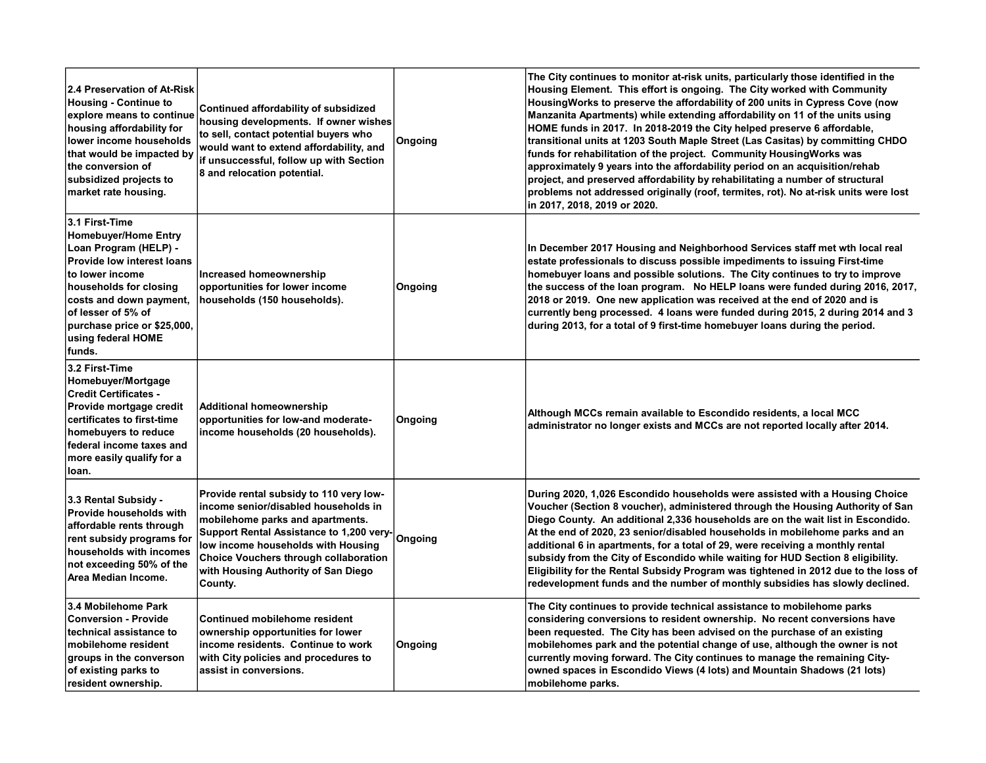| 2.4 Preservation of At-Risk<br><b>Housing - Continue to</b><br>explore means to continue<br>housing affordability for<br>lower income households<br>that would be impacted by<br>the conversion of<br>subsidized projects to<br>market rate housing.                       | Continued affordability of subsidized<br>housing developments. If owner wishes<br>to sell, contact potential buyers who<br>would want to extend affordability, and<br>if unsuccessful, follow up with Section<br>8 and relocation potential.                                                                   | Ongoing | The City continues to monitor at-risk units, particularly those identified in the<br>Housing Element. This effort is ongoing. The City worked with Community<br>Housing Works to preserve the affordability of 200 units in Cypress Cove (now<br>Manzanita Apartments) while extending affordability on 11 of the units using<br>HOME funds in 2017. In 2018-2019 the City helped preserve 6 affordable,<br>transitional units at 1203 South Maple Street (Las Casitas) by committing CHDO<br>funds for rehabilitation of the project. Community Housing Works was<br>approximately 9 years into the affordability period on an acquisition/rehab<br>project, and preserved affordability by rehabilitating a number of structural<br>problems not addressed originally (roof, termites, rot). No at-risk units were lost<br>in 2017, 2018, 2019 or 2020. |
|----------------------------------------------------------------------------------------------------------------------------------------------------------------------------------------------------------------------------------------------------------------------------|----------------------------------------------------------------------------------------------------------------------------------------------------------------------------------------------------------------------------------------------------------------------------------------------------------------|---------|-----------------------------------------------------------------------------------------------------------------------------------------------------------------------------------------------------------------------------------------------------------------------------------------------------------------------------------------------------------------------------------------------------------------------------------------------------------------------------------------------------------------------------------------------------------------------------------------------------------------------------------------------------------------------------------------------------------------------------------------------------------------------------------------------------------------------------------------------------------|
| 3.1 First-Time<br><b>Homebuyer/Home Entry</b><br>Loan Program (HELP) -<br><b>Provide low interest loans</b><br>lto lower income<br>households for closing<br>costs and down payment,<br>of lesser of 5% of<br>purchase price or \$25,000,<br>using federal HOME<br> funds. | Increased homeownership<br>opportunities for lower income<br>households (150 households).                                                                                                                                                                                                                      | Ongoing | In December 2017 Housing and Neighborhood Services staff met wth local real<br>estate professionals to discuss possible impediments to issuing First-time<br>homebuyer loans and possible solutions. The City continues to try to improve<br>the success of the loan program. No HELP loans were funded during 2016, 2017,<br>2018 or 2019. One new application was received at the end of 2020 and is<br>currently beng processed. 4 loans were funded during 2015, 2 during 2014 and 3<br>during 2013, for a total of 9 first-time homebuyer loans during the period.                                                                                                                                                                                                                                                                                   |
| 3.2 First-Time<br>Homebuyer/Mortgage<br><b>Credit Certificates -</b><br>Provide mortgage credit<br>certificates to first-time<br>homebuyers to reduce<br>federal income taxes and<br>more easily qualify for a<br>loan.                                                    | <b>Additional homeownership</b><br>opportunities for low-and moderate-<br>income households (20 households).                                                                                                                                                                                                   | Ongoing | Although MCCs remain available to Escondido residents, a local MCC<br>administrator no longer exists and MCCs are not reported locally after 2014.                                                                                                                                                                                                                                                                                                                                                                                                                                                                                                                                                                                                                                                                                                        |
| 3.3 Rental Subsidy -<br><b>Provide households with</b><br>affordable rents through<br>rent subsidy programs for<br>households with incomes<br>not exceeding 50% of the<br>Area Median Income.                                                                              | Provide rental subsidy to 110 very low-<br>income senior/disabled households in<br>mobilehome parks and apartments.<br>Support Rental Assistance to 1,200 very Ongoing<br>low income households with Housing<br><b>Choice Vouchers through collaboration</b><br>with Housing Authority of San Diego<br>County. |         | During 2020, 1,026 Escondido households were assisted with a Housing Choice<br>Voucher (Section 8 voucher), administered through the Housing Authority of San<br>Diego County. An additional 2,336 households are on the wait list in Escondido.<br>At the end of 2020, 23 senior/disabled households in mobilehome parks and an<br>additional 6 in apartments, for a total of 29, were receiving a monthly rental<br>subsidy from the City of Escondido while waiting for HUD Section 8 eligibility.<br>Eligibility for the Rental Subsidy Program was tightened in 2012 due to the loss of<br>redevelopment funds and the number of monthly subsidies has slowly declined.                                                                                                                                                                              |
| 3.4 Mobilehome Park<br><b>Conversion - Provide</b><br>technical assistance to<br>mobilehome resident<br>groups in the converson<br>of existing parks to<br>resident ownership.                                                                                             | Continued mobilehome resident<br>ownership opportunities for lower<br>income residents. Continue to work<br>with City policies and procedures to<br>assist in conversions.                                                                                                                                     | Ongoing | The City continues to provide technical assistance to mobilehome parks<br>considering conversions to resident ownership. No recent conversions have<br>been requested. The City has been advised on the purchase of an existing<br>mobilehomes park and the potential change of use, although the owner is not<br>currently moving forward. The City continues to manage the remaining City-<br>owned spaces in Escondido Views (4 lots) and Mountain Shadows (21 lots)<br>mobilehome parks.                                                                                                                                                                                                                                                                                                                                                              |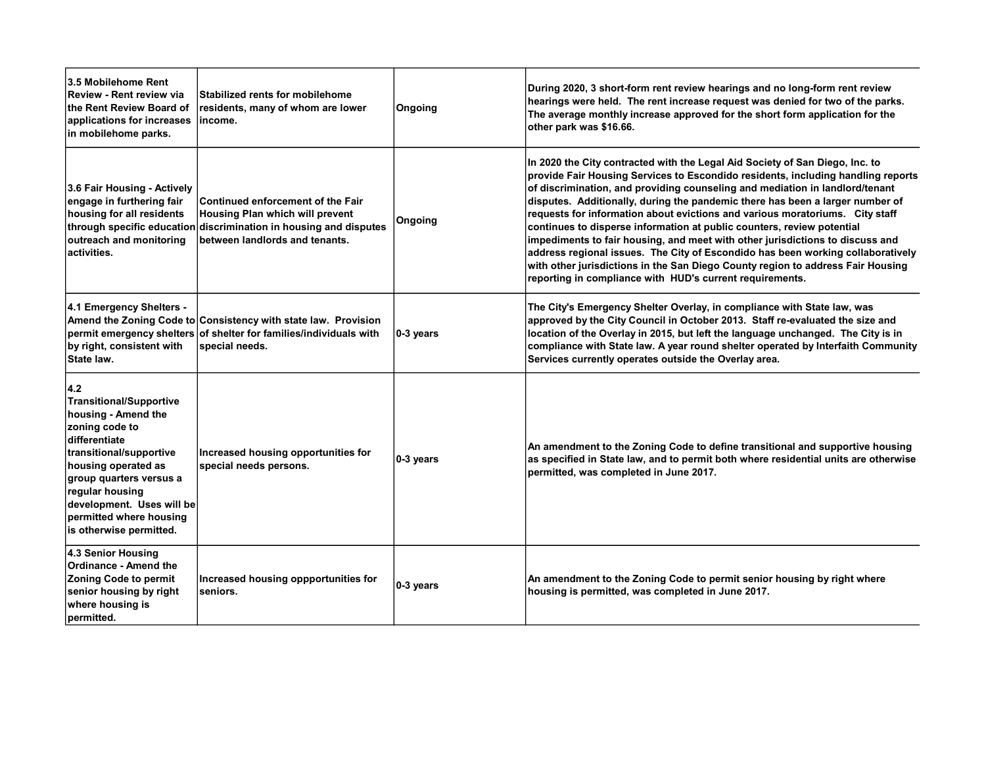| <b>3.5 Mobilehome Rent</b><br>Review - Rent review via<br>lthe Rent Review Board of<br>applications for increases<br>in mobilehome parks.                                                                                                                                          | Stabilized rents for mobilehome<br>residents, many of whom are lower<br>lincome.                                                                                            | Ongoing      | During 2020, 3 short-form rent review hearings and no long-form rent review<br>hearings were held. The rent increase request was denied for two of the parks.<br>The average monthly increase approved for the short form application for the<br>other park was \$16.66.                                                                                                                                                                                                                                                                                                                                                                                                                                                                                                                                       |
|------------------------------------------------------------------------------------------------------------------------------------------------------------------------------------------------------------------------------------------------------------------------------------|-----------------------------------------------------------------------------------------------------------------------------------------------------------------------------|--------------|----------------------------------------------------------------------------------------------------------------------------------------------------------------------------------------------------------------------------------------------------------------------------------------------------------------------------------------------------------------------------------------------------------------------------------------------------------------------------------------------------------------------------------------------------------------------------------------------------------------------------------------------------------------------------------------------------------------------------------------------------------------------------------------------------------------|
| 3.6 Fair Housing - Actively<br>engage in furthering fair<br>housing for all residents<br>outreach and monitoring<br>activities.                                                                                                                                                    | Continued enforcement of the Fair<br>Housing Plan which will prevent<br>through specific education discrimination in housing and disputes<br>between landlords and tenants. | Ongoing      | In 2020 the City contracted with the Legal Aid Society of San Diego, Inc. to<br>provide Fair Housing Services to Escondido residents, including handling reports<br>of discrimination, and providing counseling and mediation in landlord/tenant<br>disputes. Additionally, during the pandemic there has been a larger number of<br>requests for information about evictions and various moratoriums. City staff<br>continues to disperse information at public counters, review potential<br>impediments to fair housing, and meet with other jurisdictions to discuss and<br>address regional issues. The City of Escondido has been working collaboratively<br>with other jurisdictions in the San Diego County region to address Fair Housing<br>reporting in compliance with HUD's current requirements. |
| 4.1 Emergency Shelters -<br>by right, consistent with<br>State law.                                                                                                                                                                                                                | Amend the Zoning Code to Consistency with state law. Provision<br>permit emergency shelters of shelter for families/individuals with<br>special needs.                      | $ 0-3$ years | The City's Emergency Shelter Overlay, in compliance with State law, was<br>approved by the City Council in October 2013. Staff re-evaluated the size and<br>location of the Overlay in 2015, but left the language unchanged. The City is in<br>compliance with State law. A year round shelter operated by Interfaith Community<br>Services currently operates outside the Overlay area.                                                                                                                                                                                                                                                                                                                                                                                                                      |
| 4.2<br><b>Transitional/Supportive</b><br>housing - Amend the<br>zoning code to<br>differentiate<br>transitional/supportive<br>housing operated as<br>group quarters versus a<br>regular housing<br>development. Uses will be<br>permitted where housing<br>is otherwise permitted. | Increased housing opportunities for<br>special needs persons.                                                                                                               | $ 0-3$ years | An amendment to the Zoning Code to define transitional and supportive housing<br>as specified in State law, and to permit both where residential units are otherwise<br>permitted, was completed in June 2017.                                                                                                                                                                                                                                                                                                                                                                                                                                                                                                                                                                                                 |
| 4.3 Senior Housing<br><b>Ordinance - Amend the</b><br><b>Zoning Code to permit</b><br>senior housing by right<br>where housing is<br>permitted.                                                                                                                                    | Increased housing oppportunities for<br>seniors.                                                                                                                            | $ 0-3$ years | An amendment to the Zoning Code to permit senior housing by right where<br>housing is permitted, was completed in June 2017.                                                                                                                                                                                                                                                                                                                                                                                                                                                                                                                                                                                                                                                                                   |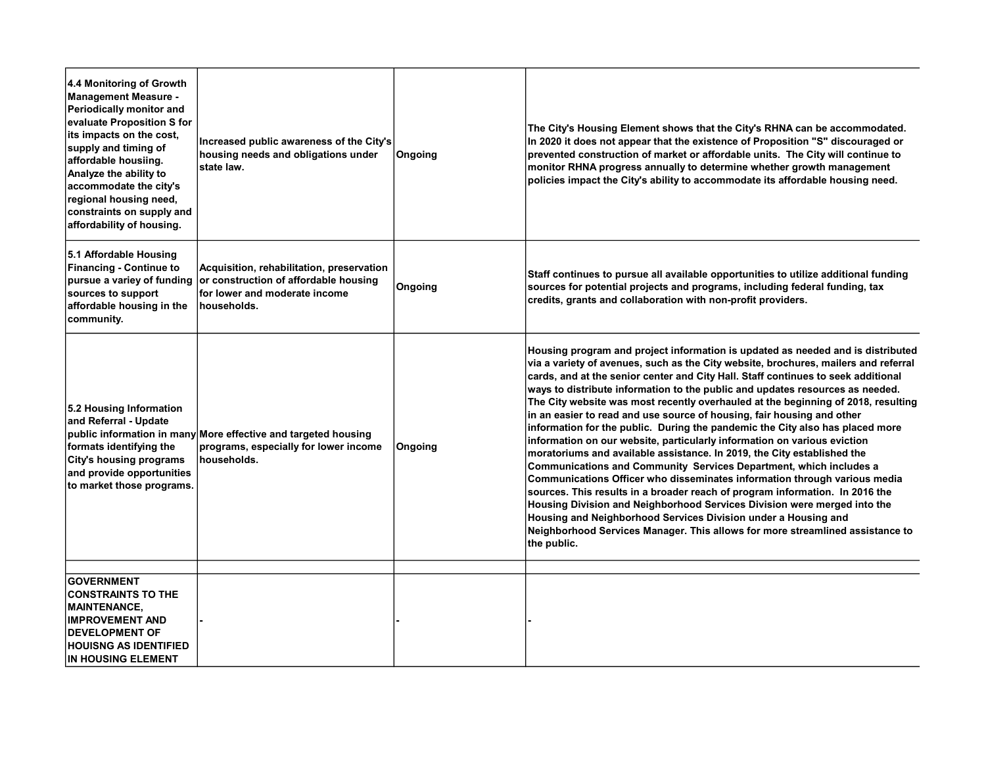| 4.4 Monitoring of Growth<br><b>Management Measure -</b><br>Periodically monitor and<br>evaluate Proposition S for<br>its impacts on the cost,<br>supply and timing of<br>affordable housiing.<br>Analyze the ability to<br>accommodate the city's<br>regional housing need,<br>constraints on supply and<br>affordability of housing. | Increased public awareness of the City's<br>housing needs and obligations under<br>state law.                                      | Ongoing | The City's Housing Element shows that the City's RHNA can be accommodated.<br>In 2020 it does not appear that the existence of Proposition "S" discouraged or<br>prevented construction of market or affordable units. The City will continue to<br>monitor RHNA progress annually to determine whether growth management<br>policies impact the City's ability to accommodate its affordable housing need.                                                                                                                                                                                                                                                                                                                                                                                                                                                                                                                                                                                                                                                                                                                                                                                                                                 |
|---------------------------------------------------------------------------------------------------------------------------------------------------------------------------------------------------------------------------------------------------------------------------------------------------------------------------------------|------------------------------------------------------------------------------------------------------------------------------------|---------|---------------------------------------------------------------------------------------------------------------------------------------------------------------------------------------------------------------------------------------------------------------------------------------------------------------------------------------------------------------------------------------------------------------------------------------------------------------------------------------------------------------------------------------------------------------------------------------------------------------------------------------------------------------------------------------------------------------------------------------------------------------------------------------------------------------------------------------------------------------------------------------------------------------------------------------------------------------------------------------------------------------------------------------------------------------------------------------------------------------------------------------------------------------------------------------------------------------------------------------------|
| 5.1 Affordable Housing<br><b>Financing - Continue to</b><br>pursue a variey of funding<br>sources to support<br>affordable housing in the<br>community.                                                                                                                                                                               | Acquisition, rehabilitation, preservation<br>or construction of affordable housing<br>for lower and moderate income<br>households. | Ongoing | Staff continues to pursue all available opportunities to utilize additional funding<br>sources for potential projects and programs, including federal funding, tax<br>credits, grants and collaboration with non-profit providers.                                                                                                                                                                                                                                                                                                                                                                                                                                                                                                                                                                                                                                                                                                                                                                                                                                                                                                                                                                                                          |
| 5.2 Housing Information<br>and Referral - Update<br>formats identifying the<br>City's housing programs<br>and provide opportunities<br>to market those programs.                                                                                                                                                                      | public information in many More effective and targeted housing<br>programs, especially for lower income<br>households.             | Ongoing | Housing program and project information is updated as needed and is distributed<br>via a variety of avenues, such as the City website, brochures, mailers and referral<br>cards, and at the senior center and City Hall. Staff continues to seek additional<br>ways to distribute information to the public and updates resources as needed.<br>The City website was most recently overhauled at the beginning of 2018, resulting<br>in an easier to read and use source of housing, fair housing and other<br>information for the public. During the pandemic the City also has placed more<br>information on our website, particularly information on various eviction<br>moratoriums and available assistance. In 2019, the City established the<br><b>Communications and Community Services Department, which includes a</b><br>Communications Officer who disseminates information through various media<br>sources. This results in a broader reach of program information. In 2016 the<br>Housing Division and Neighborhood Services Division were merged into the<br>Housing and Neighborhood Services Division under a Housing and<br>Neighborhood Services Manager. This allows for more streamlined assistance to<br>the public. |
| <b>GOVERNMENT</b><br><b>CONSTRAINTS TO THE</b><br><b> MAINTENANCE,</b><br><b>IMPROVEMENT AND</b><br><b>DEVELOPMENT OF</b><br><b>HOUISNG AS IDENTIFIED</b><br><b>IN HOUSING ELEMENT</b>                                                                                                                                                |                                                                                                                                    |         |                                                                                                                                                                                                                                                                                                                                                                                                                                                                                                                                                                                                                                                                                                                                                                                                                                                                                                                                                                                                                                                                                                                                                                                                                                             |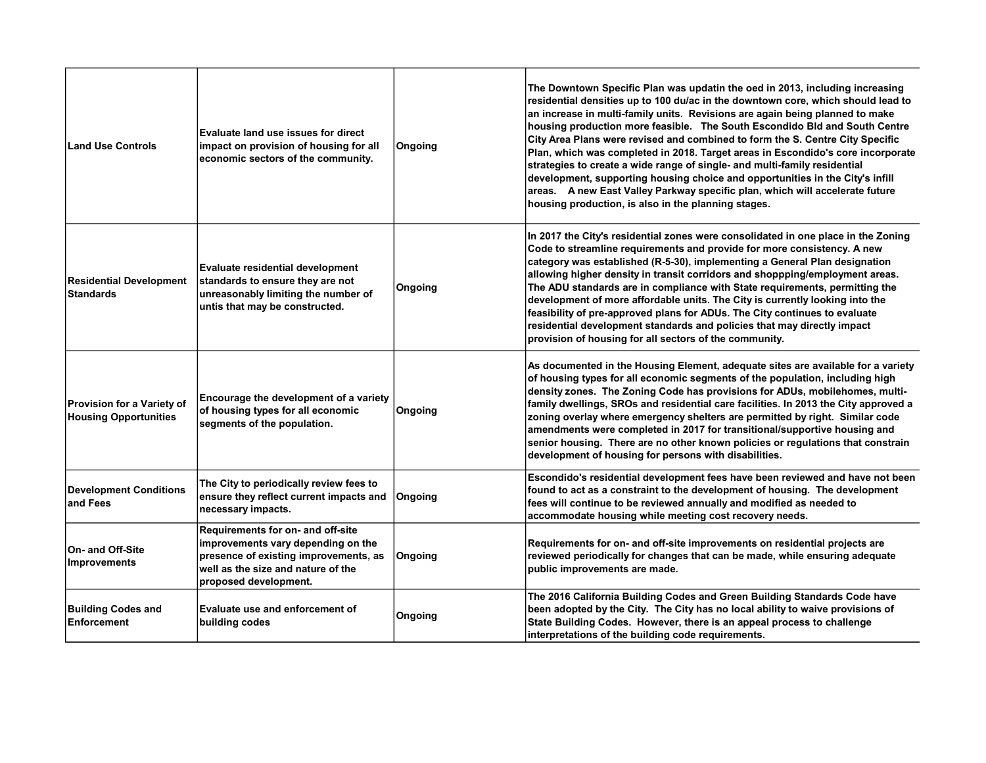| <b>Land Use Controls</b>                                   | <b>Evaluate land use issues for direct</b><br>impact on provision of housing for all<br>economic sectors of the community.                                                      | Ongoing | The Downtown Specific Plan was updatin the oed in 2013, including increasing<br>residential densities up to 100 du/ac in the downtown core, which should lead to<br>an increase in multi-family units. Revisions are again being planned to make<br>housing production more feasible. The South Escondido Bld and South Centre<br>City Area Plans were revised and combined to form the S. Centre City Specific<br>Plan, which was completed in 2018. Target areas in Escondido's core incorporate<br>strategies to create a wide range of single- and multi-family residential<br>development, supporting housing choice and opportunities in the City's infill<br>areas. A new East Valley Parkway specific plan, which will accelerate future<br>housing production, is also in the planning stages. |
|------------------------------------------------------------|---------------------------------------------------------------------------------------------------------------------------------------------------------------------------------|---------|---------------------------------------------------------------------------------------------------------------------------------------------------------------------------------------------------------------------------------------------------------------------------------------------------------------------------------------------------------------------------------------------------------------------------------------------------------------------------------------------------------------------------------------------------------------------------------------------------------------------------------------------------------------------------------------------------------------------------------------------------------------------------------------------------------|
| <b>Residential Development</b><br><b>Standards</b>         | <b>Evaluate residential development</b><br>standards to ensure they are not<br>unreasonably limiting the number of<br>untis that may be constructed.                            | Ongoing | In 2017 the City's residential zones were consolidated in one place in the Zoning<br>Code to streamline requirements and provide for more consistency. A new<br>category was established (R-5-30), implementing a General Plan designation<br>allowing higher density in transit corridors and shoppping/employment areas.<br>The ADU standards are in compliance with State requirements, permitting the<br>development of more affordable units. The City is currently looking into the<br>feasibility of pre-approved plans for ADUs. The City continues to evaluate<br>residential development standards and policies that may directly impact<br>provision of housing for all sectors of the community.                                                                                            |
| Provision for a Variety of<br><b>Housing Opportunities</b> | Encourage the development of a variety<br>of housing types for all economic<br>segments of the population.                                                                      | Ongoing | As documented in the Housing Element, adequate sites are available for a variety<br>of housing types for all economic segments of the population, including high<br>density zones. The Zoning Code has provisions for ADUs, mobilehomes, multi-<br>family dwellings, SROs and residential care facilities. In 2013 the City approved a<br>zoning overlay where emergency shelters are permitted by right. Similar code<br>amendments were completed in 2017 for transitional/supportive housing and<br>senior housing. There are no other known policies or regulations that constrain<br>development of housing for persons with disabilities.                                                                                                                                                         |
| <b>Development Conditions</b><br>and Fees                  | The City to periodically review fees to<br>ensure they reflect current impacts and<br>necessary impacts.                                                                        | Ongoing | Escondido's residential development fees have been reviewed and have not been<br>found to act as a constraint to the development of housing. The development<br>fees will continue to be reviewed annually and modified as needed to<br>accommodate housing while meeting cost recovery needs.                                                                                                                                                                                                                                                                                                                                                                                                                                                                                                          |
| On- and Off-Site<br>Improvements                           | Requirements for on- and off-site<br>improvements vary depending on the<br>presence of existing improvements, as<br>well as the size and nature of the<br>proposed development. | Ongoing | Requirements for on- and off-site improvements on residential projects are<br>reviewed periodically for changes that can be made, while ensuring adequate<br>public improvements are made.                                                                                                                                                                                                                                                                                                                                                                                                                                                                                                                                                                                                              |
| <b>Building Codes and</b><br><b>Enforcement</b>            | <b>Evaluate use and enforcement of</b><br>building codes                                                                                                                        | Ongoing | The 2016 California Building Codes and Green Building Standards Code have<br>been adopted by the City. The City has no local ability to waive provisions of<br>State Building Codes. However, there is an appeal process to challenge<br>interpretations of the building code requirements.                                                                                                                                                                                                                                                                                                                                                                                                                                                                                                             |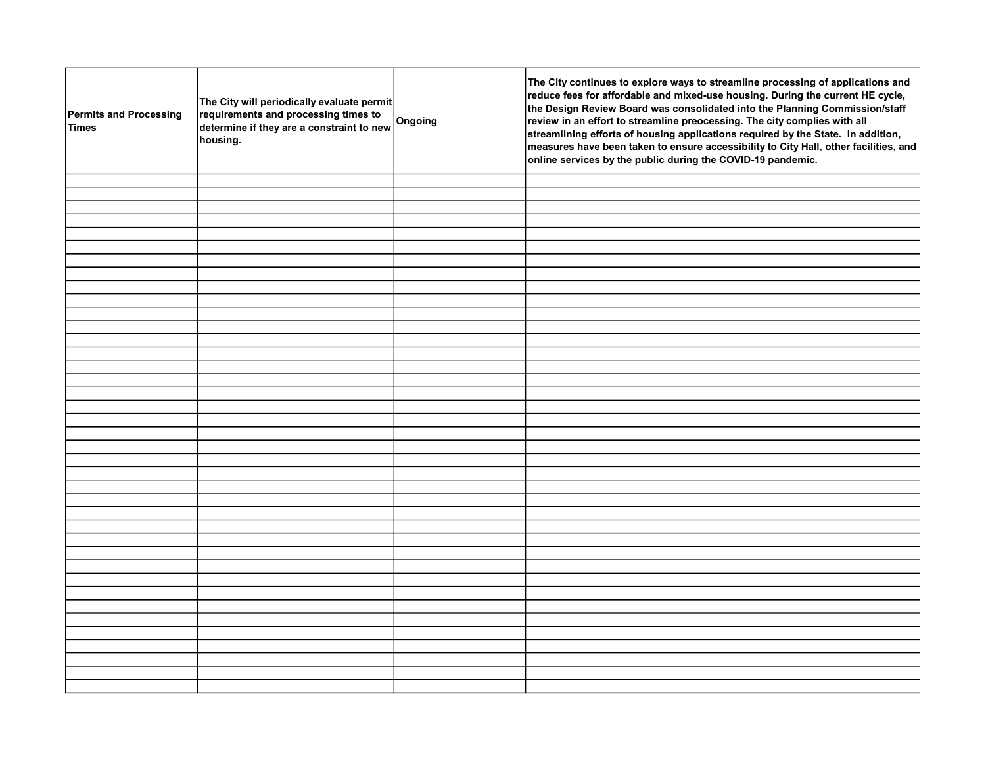| Permits and Processing<br><b>Times</b> | The City will periodically evaluate permit<br>requirements and processing times to<br>determine if they are a constraint to new<br>housing. | Ongoing | The City continues to explore ways to streamline processing of applications and<br>reduce fees for affordable and mixed-use housing. During the current HE cycle,<br>the Design Review Board was consolidated into the Planning Commission/staff<br>review in an effort to streamline preocessing. The city complies with all<br>streamlining efforts of housing applications required by the State. In addition,<br>measures have been taken to ensure accessibility to City Hall, other facilities, and<br>online services by the public during the COVID-19 pandemic. |
|----------------------------------------|---------------------------------------------------------------------------------------------------------------------------------------------|---------|--------------------------------------------------------------------------------------------------------------------------------------------------------------------------------------------------------------------------------------------------------------------------------------------------------------------------------------------------------------------------------------------------------------------------------------------------------------------------------------------------------------------------------------------------------------------------|
|                                        |                                                                                                                                             |         |                                                                                                                                                                                                                                                                                                                                                                                                                                                                                                                                                                          |
|                                        |                                                                                                                                             |         |                                                                                                                                                                                                                                                                                                                                                                                                                                                                                                                                                                          |
|                                        |                                                                                                                                             |         |                                                                                                                                                                                                                                                                                                                                                                                                                                                                                                                                                                          |
|                                        |                                                                                                                                             |         |                                                                                                                                                                                                                                                                                                                                                                                                                                                                                                                                                                          |
|                                        |                                                                                                                                             |         |                                                                                                                                                                                                                                                                                                                                                                                                                                                                                                                                                                          |
|                                        |                                                                                                                                             |         |                                                                                                                                                                                                                                                                                                                                                                                                                                                                                                                                                                          |
|                                        |                                                                                                                                             |         |                                                                                                                                                                                                                                                                                                                                                                                                                                                                                                                                                                          |
|                                        |                                                                                                                                             |         |                                                                                                                                                                                                                                                                                                                                                                                                                                                                                                                                                                          |
|                                        |                                                                                                                                             |         |                                                                                                                                                                                                                                                                                                                                                                                                                                                                                                                                                                          |
|                                        |                                                                                                                                             |         |                                                                                                                                                                                                                                                                                                                                                                                                                                                                                                                                                                          |
|                                        |                                                                                                                                             |         |                                                                                                                                                                                                                                                                                                                                                                                                                                                                                                                                                                          |
|                                        |                                                                                                                                             |         |                                                                                                                                                                                                                                                                                                                                                                                                                                                                                                                                                                          |
|                                        |                                                                                                                                             |         |                                                                                                                                                                                                                                                                                                                                                                                                                                                                                                                                                                          |
|                                        |                                                                                                                                             |         |                                                                                                                                                                                                                                                                                                                                                                                                                                                                                                                                                                          |
|                                        |                                                                                                                                             |         |                                                                                                                                                                                                                                                                                                                                                                                                                                                                                                                                                                          |
|                                        |                                                                                                                                             |         |                                                                                                                                                                                                                                                                                                                                                                                                                                                                                                                                                                          |
|                                        |                                                                                                                                             |         |                                                                                                                                                                                                                                                                                                                                                                                                                                                                                                                                                                          |
|                                        |                                                                                                                                             |         |                                                                                                                                                                                                                                                                                                                                                                                                                                                                                                                                                                          |
|                                        |                                                                                                                                             |         |                                                                                                                                                                                                                                                                                                                                                                                                                                                                                                                                                                          |
|                                        |                                                                                                                                             |         |                                                                                                                                                                                                                                                                                                                                                                                                                                                                                                                                                                          |
|                                        |                                                                                                                                             |         |                                                                                                                                                                                                                                                                                                                                                                                                                                                                                                                                                                          |
|                                        |                                                                                                                                             |         |                                                                                                                                                                                                                                                                                                                                                                                                                                                                                                                                                                          |
|                                        |                                                                                                                                             |         |                                                                                                                                                                                                                                                                                                                                                                                                                                                                                                                                                                          |
|                                        |                                                                                                                                             |         |                                                                                                                                                                                                                                                                                                                                                                                                                                                                                                                                                                          |
|                                        |                                                                                                                                             |         |                                                                                                                                                                                                                                                                                                                                                                                                                                                                                                                                                                          |
|                                        |                                                                                                                                             |         |                                                                                                                                                                                                                                                                                                                                                                                                                                                                                                                                                                          |
|                                        |                                                                                                                                             |         |                                                                                                                                                                                                                                                                                                                                                                                                                                                                                                                                                                          |
|                                        |                                                                                                                                             |         |                                                                                                                                                                                                                                                                                                                                                                                                                                                                                                                                                                          |
|                                        |                                                                                                                                             |         |                                                                                                                                                                                                                                                                                                                                                                                                                                                                                                                                                                          |
|                                        |                                                                                                                                             |         |                                                                                                                                                                                                                                                                                                                                                                                                                                                                                                                                                                          |
|                                        |                                                                                                                                             |         |                                                                                                                                                                                                                                                                                                                                                                                                                                                                                                                                                                          |
|                                        |                                                                                                                                             |         |                                                                                                                                                                                                                                                                                                                                                                                                                                                                                                                                                                          |
|                                        |                                                                                                                                             |         |                                                                                                                                                                                                                                                                                                                                                                                                                                                                                                                                                                          |
|                                        |                                                                                                                                             |         |                                                                                                                                                                                                                                                                                                                                                                                                                                                                                                                                                                          |
|                                        |                                                                                                                                             |         |                                                                                                                                                                                                                                                                                                                                                                                                                                                                                                                                                                          |
|                                        |                                                                                                                                             |         |                                                                                                                                                                                                                                                                                                                                                                                                                                                                                                                                                                          |
|                                        |                                                                                                                                             |         |                                                                                                                                                                                                                                                                                                                                                                                                                                                                                                                                                                          |